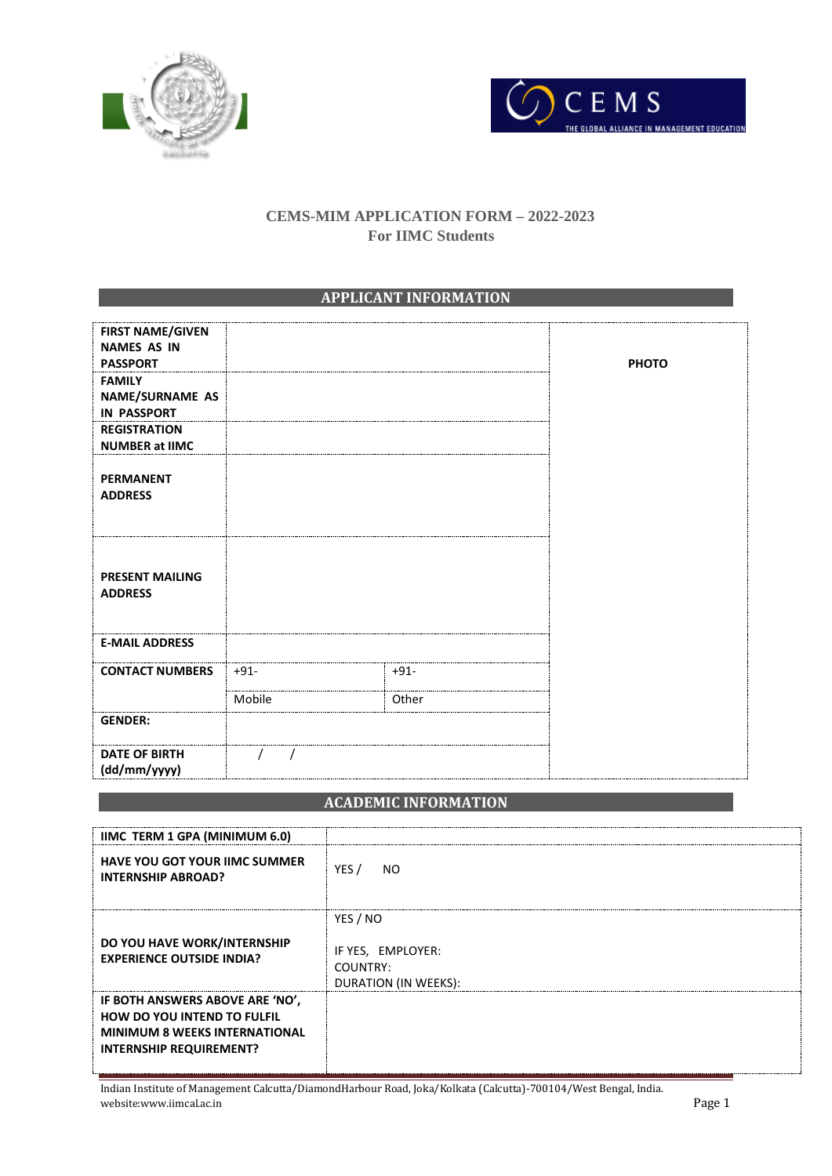



## **CEMS-MIM APPLICATION FORM – 2022-2023 For IIMC Students**

## **APPLICANT INFORMATION**

| <b>FIRST NAME/GIVEN</b><br><b>NAMES AS IN</b> |        |        |              |
|-----------------------------------------------|--------|--------|--------------|
| <b>PASSPORT</b>                               |        |        | <b>PHOTO</b> |
| <b>FAMILY</b>                                 |        |        |              |
| NAME/SURNAME AS<br><b>IN PASSPORT</b>         |        |        |              |
| <b>REGISTRATION</b><br><b>NUMBER at IIMC</b>  |        |        |              |
|                                               |        |        |              |
| <b>PERMANENT</b>                              |        |        |              |
| <b>ADDRESS</b>                                |        |        |              |
|                                               |        |        |              |
|                                               |        |        |              |
|                                               |        |        |              |
| <b>PRESENT MAILING</b>                        |        |        |              |
| <b>ADDRESS</b>                                |        |        |              |
|                                               |        |        |              |
|                                               |        |        |              |
| <b>E-MAIL ADDRESS</b>                         |        |        |              |
| <b>CONTACT NUMBERS</b>                        | $+91-$ | $+91-$ |              |
|                                               |        |        |              |
|                                               | Mobile | Other  |              |
| <b>GENDER:</b>                                |        |        |              |
|                                               |        |        |              |
| <b>DATE OF BIRTH</b><br>(dd/mm/yyyy)          |        |        |              |
|                                               |        |        |              |

## **ACADEMIC INFORMATION**

| <b>IIMC TERM 1 GPA (MINIMUM 6.0)</b>                                                                                                            |                                                                   |
|-------------------------------------------------------------------------------------------------------------------------------------------------|-------------------------------------------------------------------|
| <b>HAVE YOU GOT YOUR IIMC SUMMER</b><br><b>INTERNSHIP ABROAD?</b>                                                                               | YES /<br>NO.                                                      |
| DO YOU HAVE WORK/INTERNSHIP<br><b>EXPERIENCE OUTSIDE INDIA?</b>                                                                                 | YES / NO<br>IF YES, EMPLOYER:<br>COUNTRY:<br>DURATION (IN WEEKS): |
| IF BOTH ANSWERS ABOVE ARE 'NO',<br><b>HOW DO YOU INTEND TO FULFIL</b><br><b>MINIMUM 8 WEEKS INTERNATIONAL</b><br><b>INTERNSHIP REQUIREMENT?</b> |                                                                   |

Indian Institute of Management Calcutta/DiamondHarbour Road, Joka/Kolkata (Calcutta)-700104/West Bengal, India. website:www.iimcal.ac.in Page 1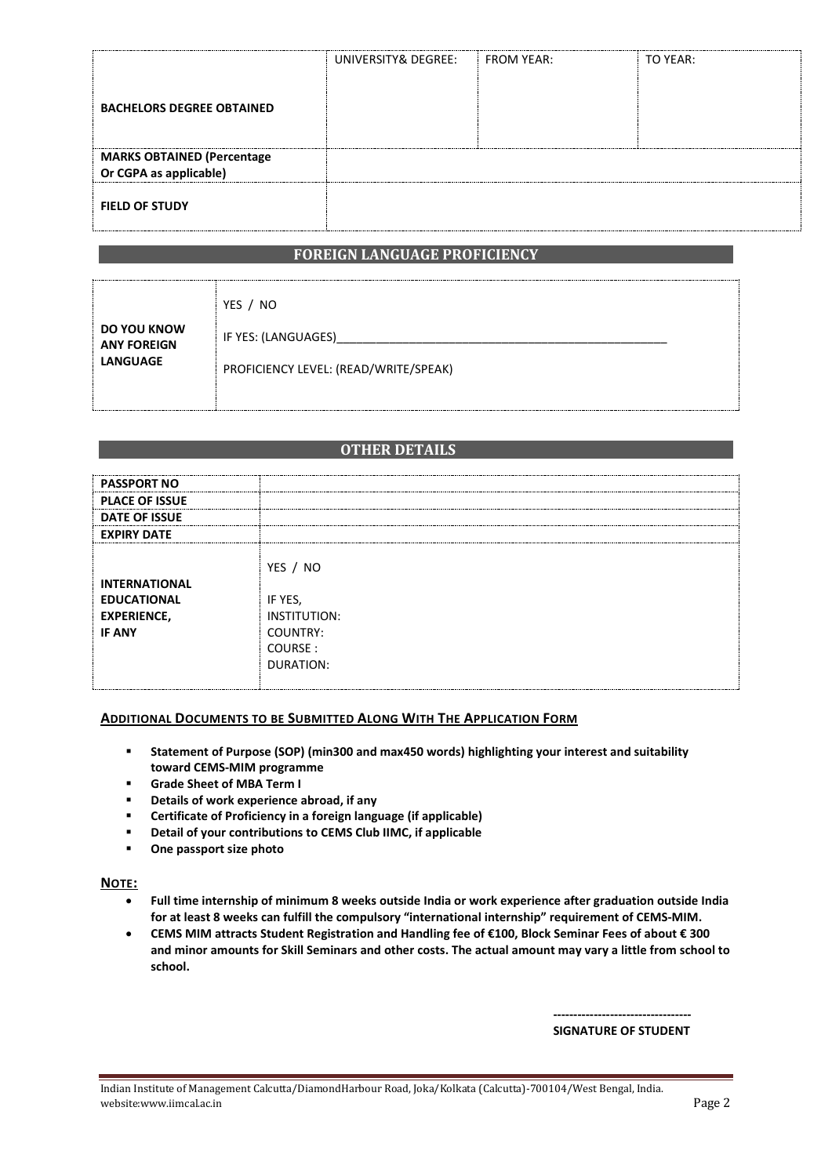| <b>BACHELORS DEGREE OBTAINED</b>  | UNIVERSITY& DEGREE: | $\parallel$ FROM YEAR: | TO YEAR: |
|-----------------------------------|---------------------|------------------------|----------|
| <b>MARKS OBTAINED (Percentage</b> |                     |                        |          |
| Or CGPA as applicable)            |                     |                        |          |
| <b>FIELD OF STUDY</b>             |                     |                        |          |

### **FOREIGN LANGUAGE PROFICIENCY**

|                                                      | YES / NO                              |  |
|------------------------------------------------------|---------------------------------------|--|
| DO YOU KNOW<br><b>ANY FOREIGN</b><br><b>LANGUAGE</b> | IF YES: (LANGUAGES)                   |  |
|                                                      | PROFICIENCY LEVEL: (READ/WRITE/SPEAK) |  |
|                                                      |                                       |  |

#### **OTHER DETAILS**

| <b>PASSPORT NO</b>                                                                |                                                                                |
|-----------------------------------------------------------------------------------|--------------------------------------------------------------------------------|
| <b>PLACE OF ISSUE</b>                                                             |                                                                                |
| <b>DATE OF ISSUE</b>                                                              |                                                                                |
| <b>EXPIRY DATE</b>                                                                |                                                                                |
| <b>INTERNATIONAL</b><br><b>EDUCATIONAL</b><br><b>EXPERIENCE,</b><br><b>IF ANY</b> | YES / NO<br>IF YES,<br><b>INSTITUTION:</b><br>COUNTRY:<br>COURSE:<br>DURATION: |

#### **ADDITIONAL DOCUMENTS TO BE SUBMITTED ALONG WITH THE APPLICATION FORM**

- **Statement of Purpose (SOP) (min300 and max450 words) highlighting your interest and suitability toward CEMS-MIM programme**
- **Grade Sheet of MBA Term I**
- **Details of work experience abroad, if any**
- **Certificate of Proficiency in a foreign language (if applicable)**
- **Detail of your contributions to CEMS Club IIMC, if applicable**
- **One passport size photo**

#### **NOTE:**

- **Full time internship of minimum 8 weeks outside India or work experience after graduation outside India for at least 8 weeks can fulfill the compulsory "international internship" requirement of CEMS-MIM.**
- **CEMS MIM attracts Student Registration and Handling fee of €100, Block Seminar Fees of about € 300 and minor amounts for Skill Seminars and other costs. The actual amount may vary a little from school to school.**

**---------------------------------- SIGNATURE OF STUDENT**